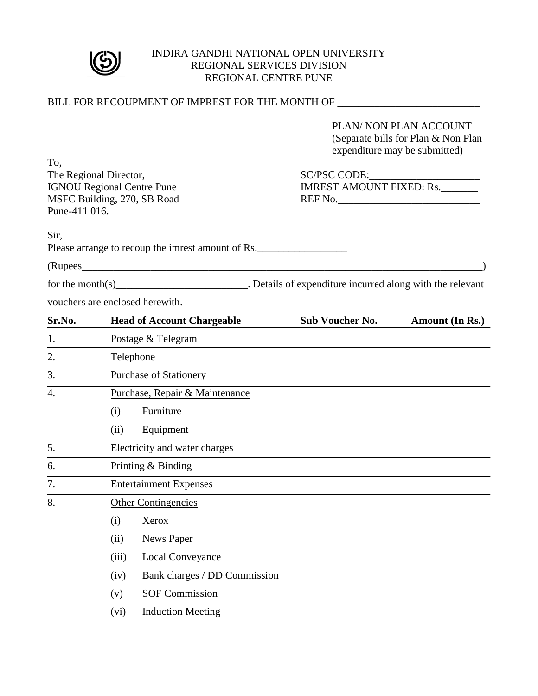

#### INDIRA GANDHI NATIONAL OPEN UNIVERSITY REGIONAL SERVICES DIVISION REGIONAL CENTRE PUNE

|                                   |           |                                                   | BILL FOR RECOUPMENT OF IMPREST FOR THE MONTH OF ________________________________               |  |  |
|-----------------------------------|-----------|---------------------------------------------------|------------------------------------------------------------------------------------------------|--|--|
|                                   |           |                                                   | PLAN/ NON PLAN ACCOUNT<br>(Separate bills for Plan & Non Plan<br>expenditure may be submitted) |  |  |
| To.<br>The Regional Director,     |           |                                                   |                                                                                                |  |  |
| <b>IGNOU Regional Centre Pune</b> |           |                                                   | <b>IMREST AMOUNT FIXED: Rs.</b>                                                                |  |  |
|                                   |           | MSFC Building, 270, SB Road                       | REF No.                                                                                        |  |  |
| Pune-411 016.                     |           |                                                   |                                                                                                |  |  |
| Sir,                              |           | Please arrange to recoup the imrest amount of Rs. |                                                                                                |  |  |
|                                   |           | (Rupees 2008)                                     |                                                                                                |  |  |
|                                   |           |                                                   |                                                                                                |  |  |
|                                   |           | vouchers are enclosed herewith.                   |                                                                                                |  |  |
| Sr.No.                            |           | <b>Head of Account Chargeable</b>                 | <b>Sub Voucher No.</b><br>Amount (In Rs.)                                                      |  |  |
| 1.                                |           | Postage & Telegram                                |                                                                                                |  |  |
| 2.                                | Telephone |                                                   |                                                                                                |  |  |
| 3.                                |           | <b>Purchase of Stationery</b>                     |                                                                                                |  |  |
| $\overline{4}$ .                  |           | Purchase, Repair & Maintenance                    |                                                                                                |  |  |
|                                   | (i)       | Furniture                                         |                                                                                                |  |  |
|                                   | (ii)      | Equipment                                         |                                                                                                |  |  |
| 5.                                |           | Electricity and water charges                     |                                                                                                |  |  |
| 6.                                |           | Printing & Binding                                |                                                                                                |  |  |
| 7.                                |           | <b>Entertainment Expenses</b>                     |                                                                                                |  |  |
| 8.                                |           | <b>Other Contingencies</b>                        |                                                                                                |  |  |
|                                   | (i)       | Xerox                                             |                                                                                                |  |  |
|                                   | (ii)      | News Paper                                        |                                                                                                |  |  |
|                                   | (iii)     | Local Conveyance                                  |                                                                                                |  |  |
|                                   | (iv)      | Bank charges / DD Commission                      |                                                                                                |  |  |
|                                   | (v)       | <b>SOF Commission</b>                             |                                                                                                |  |  |
|                                   | (vi)      | <b>Induction Meeting</b>                          |                                                                                                |  |  |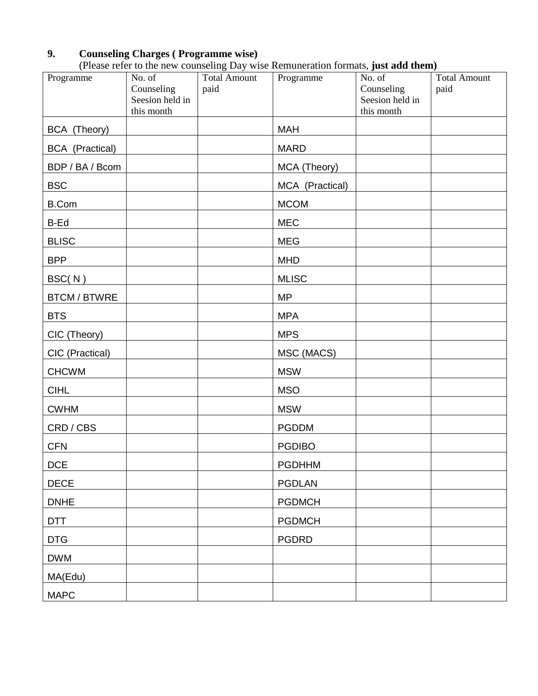# **9. Counseling Charges ( Programme wise)**

| (Please refer to the new counseling Day wise Remuneration formats, just add them) |  |  |
|-----------------------------------------------------------------------------------|--|--|
|-----------------------------------------------------------------------------------|--|--|

| Programme              | No. of<br>Counseling<br>Seesion held in<br>this month | Total Amount<br>paid | Thease refer to the new counseling Day wise remuneration formats, just and them,<br>Programme | No. of<br>Counseling<br>Seesion held in<br>this month | <b>Total Amount</b><br>paid |
|------------------------|-------------------------------------------------------|----------------------|-----------------------------------------------------------------------------------------------|-------------------------------------------------------|-----------------------------|
| BCA (Theory)           |                                                       |                      | <b>MAH</b>                                                                                    |                                                       |                             |
| <b>BCA</b> (Practical) |                                                       |                      | <b>MARD</b>                                                                                   |                                                       |                             |
| BDP / BA / Bcom        |                                                       |                      | MCA (Theory)                                                                                  |                                                       |                             |
| <b>BSC</b>             |                                                       |                      | MCA (Practical)                                                                               |                                                       |                             |
| <b>B.Com</b>           |                                                       |                      | <b>MCOM</b>                                                                                   |                                                       |                             |
| B-Ed                   |                                                       |                      | <b>MEC</b>                                                                                    |                                                       |                             |
| <b>BLISC</b>           |                                                       |                      | <b>MEG</b>                                                                                    |                                                       |                             |
| <b>BPP</b>             |                                                       |                      | <b>MHD</b>                                                                                    |                                                       |                             |
| BSC(N)                 |                                                       |                      | <b>MLISC</b>                                                                                  |                                                       |                             |
| BTCM / BTWRE           |                                                       |                      | <b>MP</b>                                                                                     |                                                       |                             |
| <b>BTS</b>             |                                                       |                      | <b>MPA</b>                                                                                    |                                                       |                             |
| CIC (Theory)           |                                                       |                      | <b>MPS</b>                                                                                    |                                                       |                             |
| CIC (Practical)        |                                                       |                      | MSC (MACS)                                                                                    |                                                       |                             |
| <b>CHCWM</b>           |                                                       |                      | <b>MSW</b>                                                                                    |                                                       |                             |
| <b>CIHL</b>            |                                                       |                      | <b>MSO</b>                                                                                    |                                                       |                             |
| <b>CWHM</b>            |                                                       |                      | <b>MSW</b>                                                                                    |                                                       |                             |
| CRD / CBS              |                                                       |                      | <b>PGDDM</b>                                                                                  |                                                       |                             |
| <b>CFN</b>             |                                                       |                      | <b>PGDIBO</b>                                                                                 |                                                       |                             |
| <b>DCE</b>             |                                                       |                      | <b>PGDHHM</b>                                                                                 |                                                       |                             |
| <b>DECE</b>            |                                                       |                      | PGDLAN                                                                                        |                                                       |                             |
| <b>DNHE</b>            |                                                       |                      | <b>PGDMCH</b>                                                                                 |                                                       |                             |
| <b>DTT</b>             |                                                       |                      | <b>PGDMCH</b>                                                                                 |                                                       |                             |
| <b>DTG</b>             |                                                       |                      | <b>PGDRD</b>                                                                                  |                                                       |                             |
| <b>DWM</b>             |                                                       |                      |                                                                                               |                                                       |                             |
| MA(Edu)                |                                                       |                      |                                                                                               |                                                       |                             |
| <b>MAPC</b>            |                                                       |                      |                                                                                               |                                                       |                             |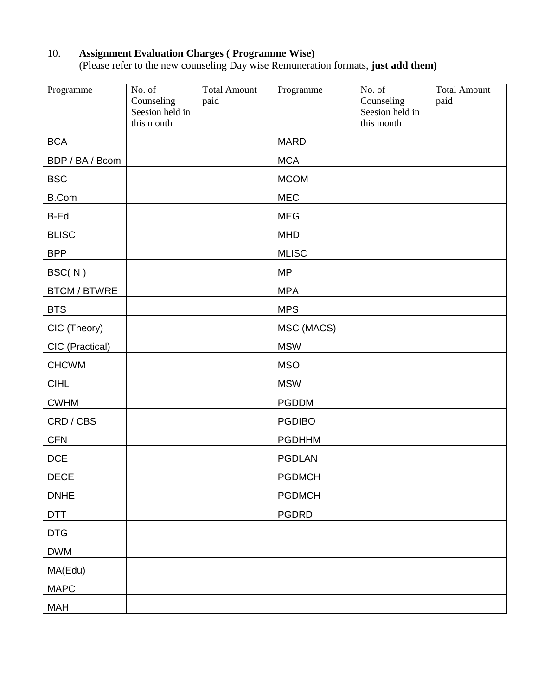# 10. **Assignment Evaluation Charges ( Programme Wise)**

(Please refer to the new counseling Day wise Remuneration formats, **just add them)** 

| Programme           | $\overline{\text{No}}$ . of<br>Counseling<br>Seesion held in<br>this month | <b>Total Amount</b><br>paid | Programme     | $\overline{No}$ . of<br>Counseling<br>Seesion held in<br>this month | <b>Total Amount</b><br>paid |
|---------------------|----------------------------------------------------------------------------|-----------------------------|---------------|---------------------------------------------------------------------|-----------------------------|
| <b>BCA</b>          |                                                                            |                             | <b>MARD</b>   |                                                                     |                             |
| BDP / BA / Bcom     |                                                                            |                             | <b>MCA</b>    |                                                                     |                             |
| <b>BSC</b>          |                                                                            |                             | <b>MCOM</b>   |                                                                     |                             |
| <b>B.Com</b>        |                                                                            |                             | <b>MEC</b>    |                                                                     |                             |
| B-Ed                |                                                                            |                             | <b>MEG</b>    |                                                                     |                             |
| <b>BLISC</b>        |                                                                            |                             | <b>MHD</b>    |                                                                     |                             |
| <b>BPP</b>          |                                                                            |                             | <b>MLISC</b>  |                                                                     |                             |
| BSC(N)              |                                                                            |                             | <b>MP</b>     |                                                                     |                             |
| <b>BTCM / BTWRE</b> |                                                                            |                             | <b>MPA</b>    |                                                                     |                             |
| <b>BTS</b>          |                                                                            |                             | <b>MPS</b>    |                                                                     |                             |
| CIC (Theory)        |                                                                            |                             | MSC (MACS)    |                                                                     |                             |
| CIC (Practical)     |                                                                            |                             | <b>MSW</b>    |                                                                     |                             |
| <b>CHCWM</b>        |                                                                            |                             | <b>MSO</b>    |                                                                     |                             |
| <b>CIHL</b>         |                                                                            |                             | <b>MSW</b>    |                                                                     |                             |
| <b>CWHM</b>         |                                                                            |                             | <b>PGDDM</b>  |                                                                     |                             |
| CRD / CBS           |                                                                            |                             | <b>PGDIBO</b> |                                                                     |                             |
| <b>CFN</b>          |                                                                            |                             | <b>PGDHHM</b> |                                                                     |                             |
| <b>DCE</b>          |                                                                            |                             | <b>PGDLAN</b> |                                                                     |                             |
| <b>DECE</b>         |                                                                            |                             | <b>PGDMCH</b> |                                                                     |                             |
| <b>DNHE</b>         |                                                                            |                             | <b>PGDMCH</b> |                                                                     |                             |
| <b>DTT</b>          |                                                                            |                             | <b>PGDRD</b>  |                                                                     |                             |
| <b>DTG</b>          |                                                                            |                             |               |                                                                     |                             |
| <b>DWM</b>          |                                                                            |                             |               |                                                                     |                             |
| MA(Edu)             |                                                                            |                             |               |                                                                     |                             |
| <b>MAPC</b>         |                                                                            |                             |               |                                                                     |                             |
| MAH                 |                                                                            |                             |               |                                                                     |                             |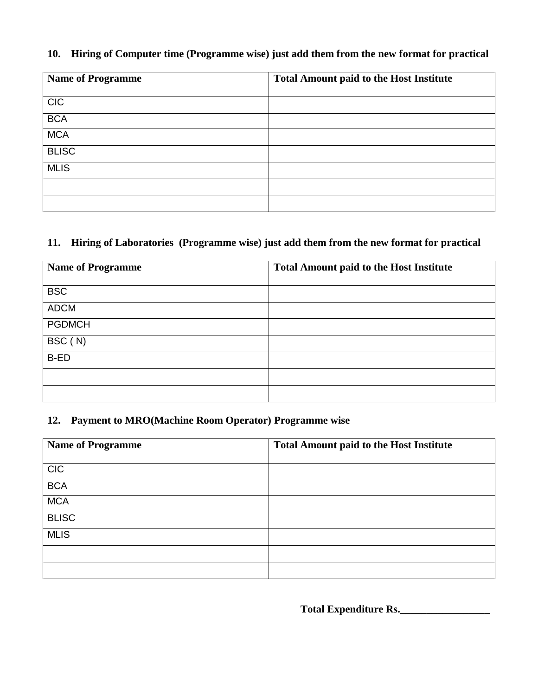#### **10. Hiring of Computer time (Programme wise) just add them from the new format for practical**

| <b>Name of Programme</b> | <b>Total Amount paid to the Host Institute</b> |  |
|--------------------------|------------------------------------------------|--|
|                          |                                                |  |
| <b>CIC</b>               |                                                |  |
| <b>BCA</b>               |                                                |  |
| <b>MCA</b>               |                                                |  |
| <b>BLISC</b>             |                                                |  |
| <b>MLIS</b>              |                                                |  |
|                          |                                                |  |
|                          |                                                |  |

#### **11. Hiring of Laboratories (Programme wise) just add them from the new format for practical**

| <b>Name of Programme</b> | <b>Total Amount paid to the Host Institute</b> |
|--------------------------|------------------------------------------------|
| <b>BSC</b>               |                                                |
| <b>ADCM</b>              |                                                |
| <b>PGDMCH</b>            |                                                |
| BSC (N)                  |                                                |
| B-ED                     |                                                |
|                          |                                                |
|                          |                                                |

#### **12. Payment to MRO(Machine Room Operator) Programme wise**

| <b>Name of Programme</b> | <b>Total Amount paid to the Host Institute</b> |  |
|--------------------------|------------------------------------------------|--|
|                          |                                                |  |
| <b>CIC</b>               |                                                |  |
| <b>BCA</b>               |                                                |  |
| <b>MCA</b>               |                                                |  |
| <b>BLISC</b>             |                                                |  |
| <b>MLIS</b>              |                                                |  |
|                          |                                                |  |
|                          |                                                |  |

**Total Expenditure Rs.\_\_\_\_\_\_\_\_\_\_\_\_\_\_\_\_\_**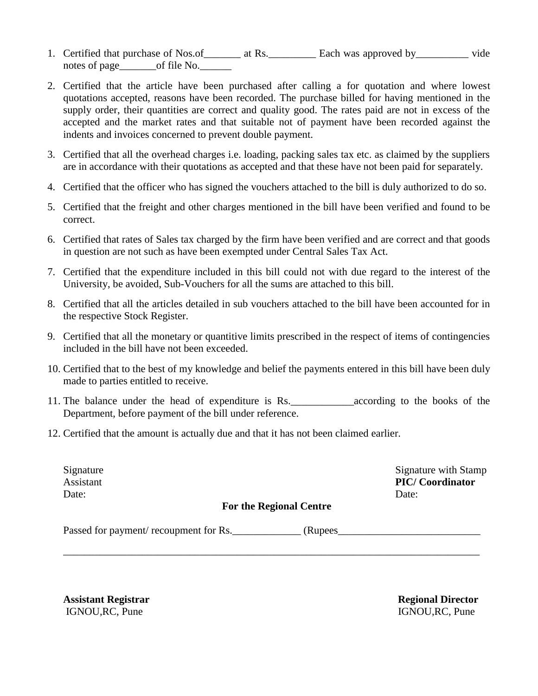- 1. Certified that purchase of Nos.of \_\_\_\_\_\_\_ at Rs. \_\_\_\_\_\_\_\_ Each was approved by \_\_\_\_\_\_\_\_\_ vide notes of page\_\_\_\_\_\_\_\_of file No.
- 2. Certified that the article have been purchased after calling a for quotation and where lowest quotations accepted, reasons have been recorded. The purchase billed for having mentioned in the supply order, their quantities are correct and quality good. The rates paid are not in excess of the accepted and the market rates and that suitable not of payment have been recorded against the indents and invoices concerned to prevent double payment.
- 3. Certified that all the overhead charges i.e. loading, packing sales tax etc. as claimed by the suppliers are in accordance with their quotations as accepted and that these have not been paid for separately.
- 4. Certified that the officer who has signed the vouchers attached to the bill is duly authorized to do so.
- 5. Certified that the freight and other charges mentioned in the bill have been verified and found to be correct.
- 6. Certified that rates of Sales tax charged by the firm have been verified and are correct and that goods in question are not such as have been exempted under Central Sales Tax Act.
- 7. Certified that the expenditure included in this bill could not with due regard to the interest of the University, be avoided, Sub-Vouchers for all the sums are attached to this bill.
- 8. Certified that all the articles detailed in sub vouchers attached to the bill have been accounted for in the respective Stock Register.
- 9. Certified that all the monetary or quantitive limits prescribed in the respect of items of contingencies included in the bill have not been exceeded.
- 10. Certified that to the best of my knowledge and belief the payments entered in this bill have been duly made to parties entitled to receive.
- 11. The balance under the head of expenditure is Rs.\_\_\_\_\_\_\_\_\_\_\_\_according to the books of the Department, before payment of the bill under reference.
- 12. Certified that the amount is actually due and that it has not been claimed earlier.

Date: Date:

Signature Signature with Stamp Assistant **PIC/ Coordinator** 

#### **For the Regional Centre**

\_\_\_\_\_\_\_\_\_\_\_\_\_\_\_\_\_\_\_\_\_\_\_\_\_\_\_\_\_\_\_\_\_\_\_\_\_\_\_\_\_\_\_\_\_\_\_\_\_\_\_\_\_\_\_\_\_\_\_\_\_\_\_\_\_\_\_\_\_\_\_\_\_\_\_\_\_\_\_

Passed for payment/ recoupment for Rs. \_\_\_\_\_\_\_\_\_\_\_\_\_\_ (Rupees\_\_\_\_\_\_\_\_\_\_\_\_\_\_\_\_\_\_\_\_

**Assistant Registrar Regional Director**  IGNOU,RC, Pune IGNOU,RC, Pune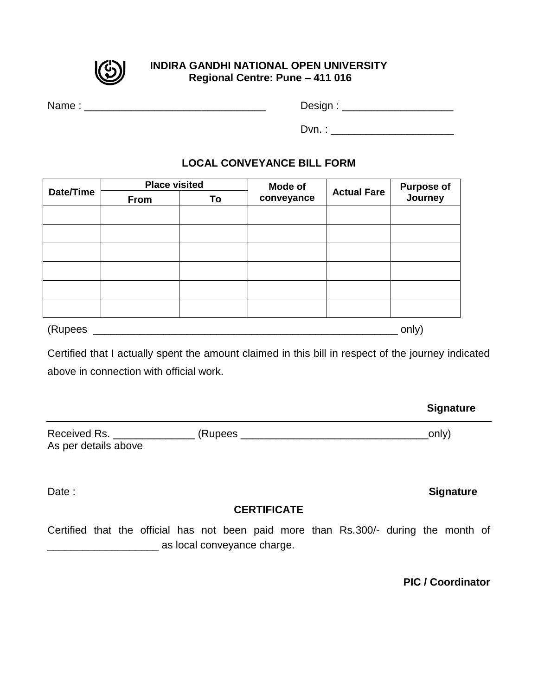

#### **INDIRA GANDHI NATIONAL OPEN UNIVERSITY Regional Centre: Pune – 411 016**

| Name: | Design: |
|-------|---------|
|       | Dvn.    |

#### **LOCAL CONVEYANCE BILL FORM**

| Date/Time | <b>Place visited</b> |    | Mode of    |                    |                               |  |
|-----------|----------------------|----|------------|--------------------|-------------------------------|--|
|           | From                 | To | conveyance | <b>Actual Fare</b> | <b>Purpose of<br/>Journey</b> |  |
|           |                      |    |            |                    |                               |  |
|           |                      |    |            |                    |                               |  |
|           |                      |    |            |                    |                               |  |
|           |                      |    |            |                    |                               |  |
|           |                      |    |            |                    |                               |  |
|           |                      |    |            |                    |                               |  |
| (Rupees   | only)                |    |            |                    |                               |  |

Certified that I actually spent the amount claimed in this bill in respect of the journey indicated above in connection with official work.

| Received Rs.         | (Rupees | only) |
|----------------------|---------|-------|
| As per details above |         |       |

# **CERTIFICATE**

Certified that the official has not been paid more than Rs.300/- during the month of **EXECUTE:** as local conveyance charge.

**PIC / Coordinator** 

# Date : **Signature**

**Signature**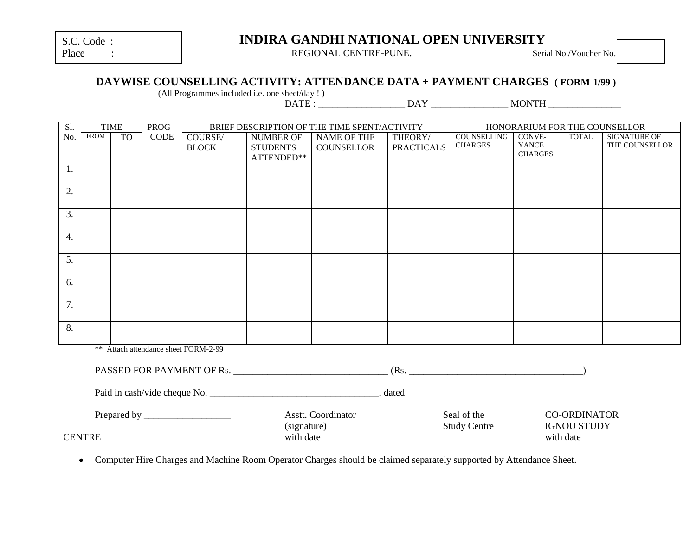| S.C. Code: |  |
|------------|--|
|            |  |

| Place |  |
|-------|--|
|       |  |

# **INDIRA GANDHI NATIONAL OPEN UNIVERSITY**

REGIONAL CENTRE-PUNE. Serial No./Voucher No.

#### **DAYWISE COUNSELLING ACTIVITY: ATTENDANCE DATA + PAYMENT CHARGES ( FORM-1/99 )**

(All Programmes included i.e. one sheet/day ! )

 $\overrightarrow{DAY}$  MONTH

| SI.              | <b>TIME</b><br><b>PROG</b> |                 |             |                                      | BRIEF DESCRIPTION OF THE TIME SPENT/ACTIVITY |                   | HONORARIUM FOR THE COUNSELLOR |                     |                         |                     |                     |
|------------------|----------------------------|-----------------|-------------|--------------------------------------|----------------------------------------------|-------------------|-------------------------------|---------------------|-------------------------|---------------------|---------------------|
| No.              | <b>FROM</b>                | TO <sub>1</sub> | <b>CODE</b> | <b>COURSE/</b>                       | <b>NUMBER OF</b>                             | NAME OF THE       | THEORY/                       | <b>COUNSELLING</b>  | CONVE-                  | <b>TOTAL</b>        | <b>SIGNATURE OF</b> |
|                  |                            |                 |             | <b>BLOCK</b>                         | <b>STUDENTS</b>                              | <b>COUNSELLOR</b> | <b>PRACTICALS</b>             | <b>CHARGES</b>      | YANCE<br><b>CHARGES</b> |                     | THE COUNSELLOR      |
|                  |                            |                 |             |                                      | ATTENDED**                                   |                   |                               |                     |                         |                     |                     |
| 1.               |                            |                 |             |                                      |                                              |                   |                               |                     |                         |                     |                     |
| $\overline{2}$ . |                            |                 |             |                                      |                                              |                   |                               |                     |                         |                     |                     |
|                  |                            |                 |             |                                      |                                              |                   |                               |                     |                         |                     |                     |
| $\overline{3}$ . |                            |                 |             |                                      |                                              |                   |                               |                     |                         |                     |                     |
|                  |                            |                 |             |                                      |                                              |                   |                               |                     |                         |                     |                     |
| $\overline{4}$ . |                            |                 |             |                                      |                                              |                   |                               |                     |                         |                     |                     |
|                  |                            |                 |             |                                      |                                              |                   |                               |                     |                         |                     |                     |
| $\overline{5}$ . |                            |                 |             |                                      |                                              |                   |                               |                     |                         |                     |                     |
|                  |                            |                 |             |                                      |                                              |                   |                               |                     |                         |                     |                     |
| 6.               |                            |                 |             |                                      |                                              |                   |                               |                     |                         |                     |                     |
|                  |                            |                 |             |                                      |                                              |                   |                               |                     |                         |                     |                     |
| 7.               |                            |                 |             |                                      |                                              |                   |                               |                     |                         |                     |                     |
|                  |                            |                 |             |                                      |                                              |                   |                               |                     |                         |                     |                     |
| $\overline{8}$ . |                            |                 |             |                                      |                                              |                   |                               |                     |                         |                     |                     |
|                  |                            |                 |             | ** Attach attendance sheet FORM-2-99 |                                              |                   |                               |                     |                         |                     |                     |
|                  |                            |                 |             |                                      |                                              |                   |                               |                     |                         |                     |                     |
|                  |                            |                 |             |                                      |                                              |                   |                               |                     |                         |                     |                     |
|                  |                            |                 |             |                                      |                                              |                   |                               |                     |                         |                     |                     |
|                  |                            |                 |             |                                      |                                              |                   |                               |                     |                         |                     |                     |
|                  |                            |                 |             |                                      | Asstt. Coordinator                           |                   |                               | Seal of the         |                         | <b>CO-ORDINATOR</b> |                     |
|                  |                            |                 |             |                                      | (signature)                                  |                   |                               | <b>Study Centre</b> |                         | <b>IGNOU STUDY</b>  |                     |
| <b>CENTRE</b>    |                            |                 |             |                                      | with date                                    |                   |                               |                     | with date               |                     |                     |

Computer Hire Charges and Machine Room Operator Charges should be claimed separately supported by Attendance Sheet.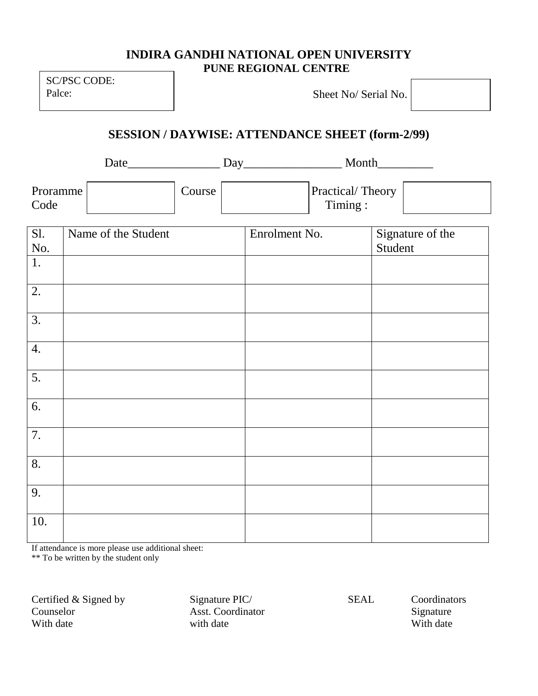# **INDIRA GANDHI NATIONAL OPEN UNIVERSITY PUNE REGIONAL CENTRE**

SC/PSC CODE: Palce:

Sheet No/ Serial No.

**SESSION / DAYWISE: ATTENDANCE SHEET (form-2/99)**

Date\_\_\_\_\_\_\_\_\_\_\_\_\_\_\_ Day\_\_\_\_\_\_\_\_\_\_\_\_\_\_\_\_ Month\_\_\_\_\_\_\_\_\_

| Proramme | Course | <b>Practical/Theory</b> |  |
|----------|--------|-------------------------|--|
| Code     |        | $T$ iming:              |  |

| S1.              | Name of the Student | Enrolment No. | Signature of the |
|------------------|---------------------|---------------|------------------|
| No.              |                     |               | Student          |
| 1.               |                     |               |                  |
| 2.               |                     |               |                  |
| 3.               |                     |               |                  |
| 4.               |                     |               |                  |
| $\overline{5}$ . |                     |               |                  |
| 6.               |                     |               |                  |
| 7.               |                     |               |                  |
| 8.               |                     |               |                  |
| 9.               |                     |               |                  |
| 10.              |                     |               |                  |

If attendance is more please use additional sheet:

\*\* To be written by the student only

Certified & Signed by Signature PIC/ SEAL Coordinators Counselor Asst. Coordinator Signature With date with date with date with date with the with date with date with the with date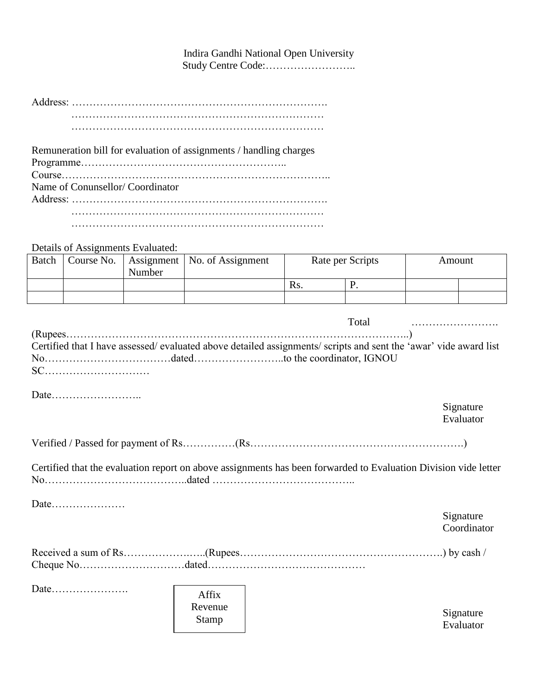Indira Gandhi National Open University Study Centre Code:……………………..

Address: ………………………………………………………………. ………………………………………………………………

………………………………………………………………

Remuneration bill for evaluation of assignments / handling charges Programme………………………………………………….. Course………………………………………………………………….. Name of Conunsellor/ Coordinator Address: ………………………………………………………………. ……………………………………………………………… ………………………………………………………………

Details of Assignments Evaluated:

| Batch | Course No. | Number | Assignment   No. of Assignment | Rate per Scripts |  | Amount |  |
|-------|------------|--------|--------------------------------|------------------|--|--------|--|
|       |            |        |                                | Ks.              |  |        |  |
|       |            |        |                                |                  |  |        |  |

|      |              | Total                                                                                                           |             |
|------|--------------|-----------------------------------------------------------------------------------------------------------------|-------------|
|      |              |                                                                                                                 |             |
|      |              | Certified that I have assessed/evaluated above detailed assignments/scripts and sent the 'awar' vide award list |             |
|      |              |                                                                                                                 |             |
|      |              |                                                                                                                 |             |
|      |              |                                                                                                                 |             |
|      |              |                                                                                                                 |             |
|      |              |                                                                                                                 | Signature   |
|      |              |                                                                                                                 | Evaluator   |
|      |              |                                                                                                                 |             |
|      |              |                                                                                                                 |             |
|      |              | Certified that the evaluation report on above assignments has been forwarded to Evaluation Division vide letter |             |
|      |              |                                                                                                                 |             |
|      |              |                                                                                                                 |             |
| Date |              |                                                                                                                 |             |
|      |              |                                                                                                                 | Signature   |
|      |              |                                                                                                                 | Coordinator |
|      |              |                                                                                                                 |             |
|      |              |                                                                                                                 |             |
|      |              |                                                                                                                 |             |
|      |              |                                                                                                                 |             |
|      | Affix        |                                                                                                                 |             |
|      | Revenue      |                                                                                                                 |             |
|      |              |                                                                                                                 | Signature   |
|      | <b>Stamp</b> |                                                                                                                 | Evaluator   |